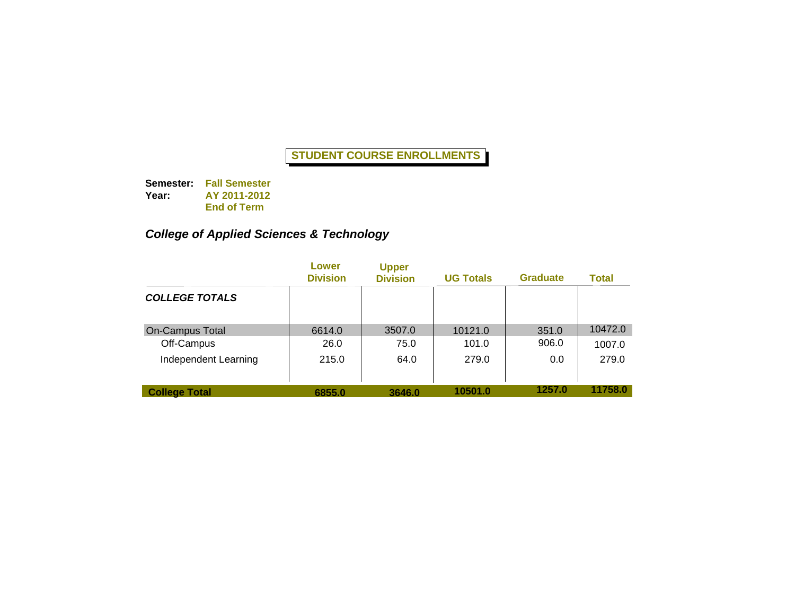**Semester: Fall Semester Year: AY 2011-2012 End of Term**

# *College of Applied Sciences & Technology*

|                        | Lower<br><b>Division</b> | <b>Upper</b><br><b>Division</b> | <b>UG Totals</b> | <b>Graduate</b> | Total   |
|------------------------|--------------------------|---------------------------------|------------------|-----------------|---------|
| <b>COLLEGE TOTALS</b>  |                          |                                 |                  |                 |         |
| <b>On-Campus Total</b> | 6614.0                   | 3507.0                          | 10121.0          | 351.0           | 10472.0 |
| Off-Campus             | 26.0                     | 75.0                            | 101.0            | 906.0           | 1007.0  |
| Independent Learning   | 215.0                    | 64.0                            | 279.0            | 0.0             | 279.0   |
| <b>College Total</b>   | 6855.0                   | 3646.0                          | 10501.0          | 1257.0          | 11758.0 |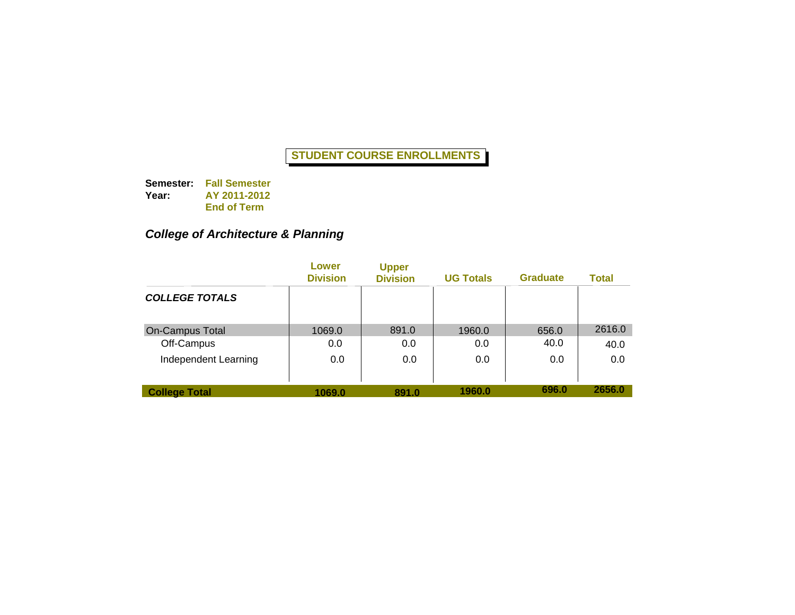**Semester: Fall Semester Year: AY 2011-2012 End of Term**

### *College of Architecture & Planning*

|                        | Lower<br><b>Division</b> | <b>Upper</b><br><b>Division</b> | <b>UG Totals</b> | <b>Graduate</b> | Total  |
|------------------------|--------------------------|---------------------------------|------------------|-----------------|--------|
| <b>COLLEGE TOTALS</b>  |                          |                                 |                  |                 |        |
| <b>On-Campus Total</b> | 1069.0                   | 891.0                           | 1960.0           | 656.0           | 2616.0 |
| Off-Campus             | 0.0                      | 0.0                             | 0.0              | 40.0            | 40.0   |
| Independent Learning   | 0.0                      | 0.0                             | 0.0              | 0.0             | 0.0    |
| <b>College Total</b>   | 1069.0                   | 891.0                           | 1960.0           | 696.0           | 2656.0 |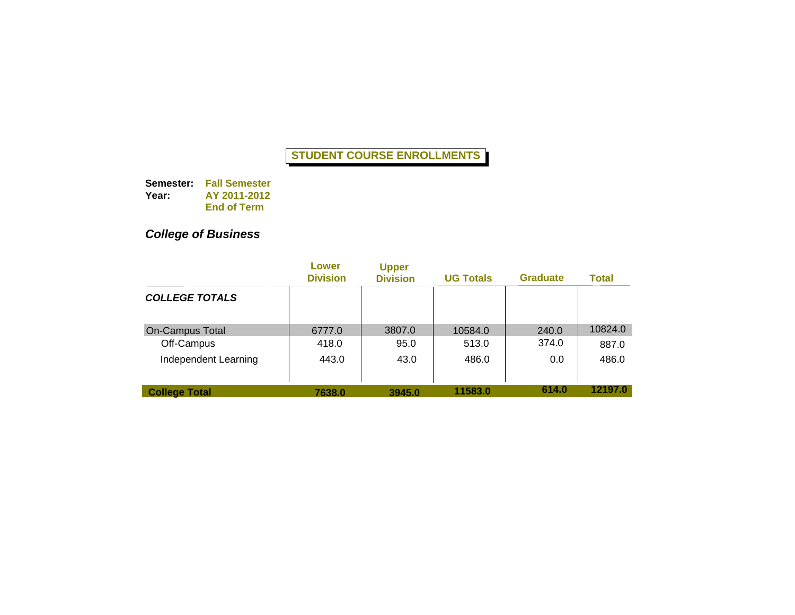**Semester: Fall Semester Year: AY 2011-2012 End of Term**

## *College of Business*

|                        | Lower<br><b>Division</b> | <b>Upper</b><br><b>Division</b> | <b>UG Totals</b> | <b>Graduate</b> | Total   |
|------------------------|--------------------------|---------------------------------|------------------|-----------------|---------|
| <b>COLLEGE TOTALS</b>  |                          |                                 |                  |                 |         |
| <b>On-Campus Total</b> | 6777.0                   | 3807.0                          | 10584.0          | 240.0           | 10824.0 |
| Off-Campus             | 418.0                    | 95.0                            | 513.0            | 374.0           | 887.0   |
| Independent Learning   | 443.0                    | 43.0                            | 486.0            | 0.0             | 486.0   |
| <b>College Total</b>   | 7638.0                   | 3945.0                          | 11583.0          | 614.0           | 12197.0 |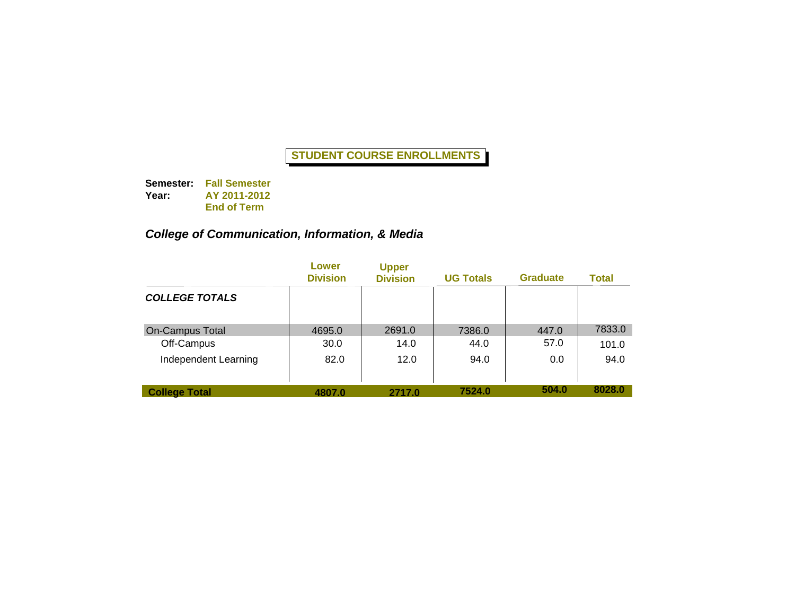**Semester: Fall Semester Year: AY 2011-2012 End of Term**

### *College of Communication, Information, & Media*

|                        | Lower<br><b>Division</b> | <b>Upper</b><br><b>Division</b> | <b>UG Totals</b> | <b>Graduate</b> | Total  |
|------------------------|--------------------------|---------------------------------|------------------|-----------------|--------|
| <b>COLLEGE TOTALS</b>  |                          |                                 |                  |                 |        |
| <b>On-Campus Total</b> | 4695.0                   | 2691.0                          | 7386.0           | 447.0           | 7833.0 |
| Off-Campus             | 30.0                     | 14.0                            | 44.0             | 57.0            | 101.0  |
| Independent Learning   | 82.0                     | 12.0                            | 94.0             | 0.0             | 94.0   |
| <b>College Total</b>   | 4807.0                   | 2717.0                          | 7524.0           | 504.0           | 8028.0 |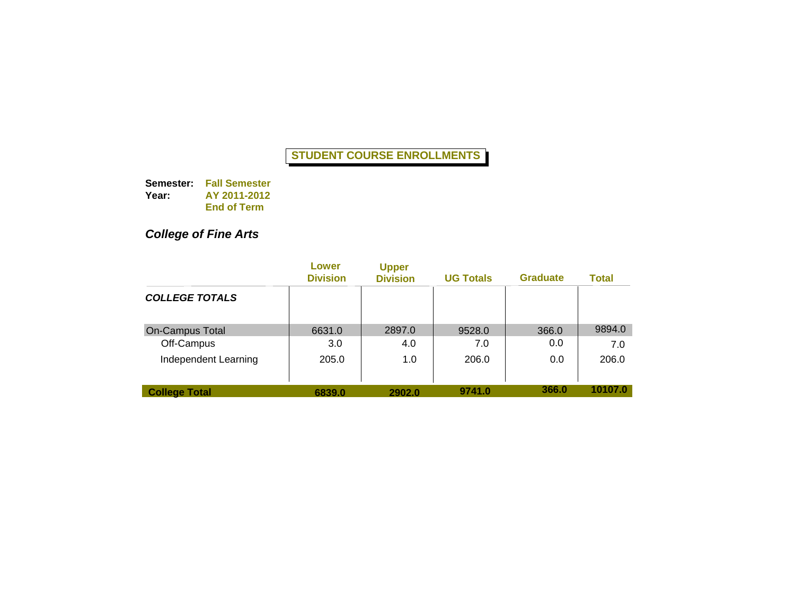**Semester: Fall Semester Year: AY 2011-2012 End of Term**

## *College of Fine Arts*

|                        | Lower<br><b>Division</b> | <b>Upper</b><br><b>Division</b> | <b>UG Totals</b> | <b>Graduate</b> | Total   |
|------------------------|--------------------------|---------------------------------|------------------|-----------------|---------|
| <b>COLLEGE TOTALS</b>  |                          |                                 |                  |                 |         |
| <b>On-Campus Total</b> | 6631.0                   | 2897.0                          | 9528.0           | 366.0           | 9894.0  |
| Off-Campus             | 3.0                      | 4.0                             | 7.0              | 0.0             | 7.0     |
| Independent Learning   | 205.0                    | 1.0                             | 206.0            | 0.0             | 206.0   |
| <b>College Total</b>   | 6839.0                   | 2902.0                          | 9741.0           | 366.0           | 10107.0 |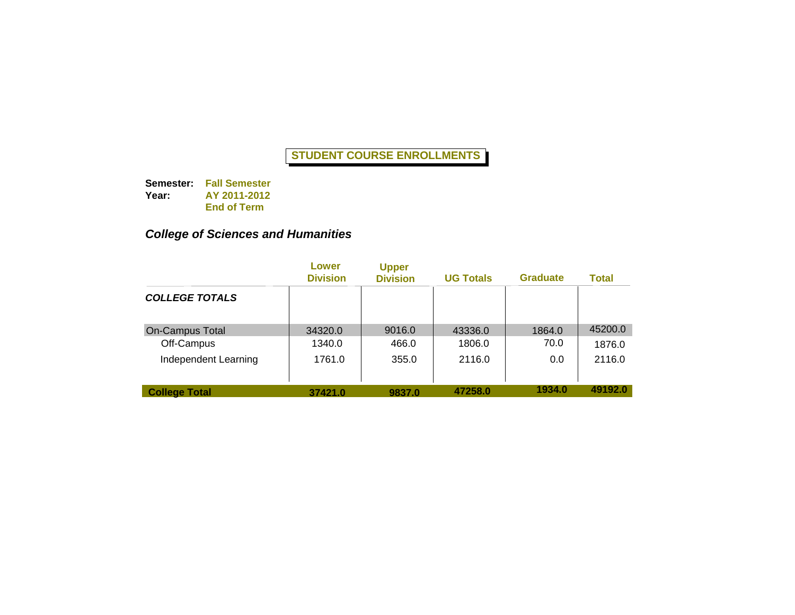**Semester: Fall Semester Year: AY 2011-2012 End of Term**

### *College of Sciences and Humanities*

|                        | Lower<br><b>Division</b> | <b>Upper</b><br><b>Division</b> | <b>UG Totals</b> | <b>Graduate</b> | Total   |
|------------------------|--------------------------|---------------------------------|------------------|-----------------|---------|
| <b>COLLEGE TOTALS</b>  |                          |                                 |                  |                 |         |
| <b>On-Campus Total</b> | 34320.0                  | 9016.0                          | 43336.0          | 1864.0          | 45200.0 |
| Off-Campus             | 1340.0                   | 466.0                           | 1806.0           | 70.0            | 1876.0  |
| Independent Learning   | 1761.0                   | 355.0                           | 2116.0           | 0.0             | 2116.0  |
| <b>College Total</b>   | 37421.0                  | 9837.0                          | 47258.0          | 1934.0          | 49192.0 |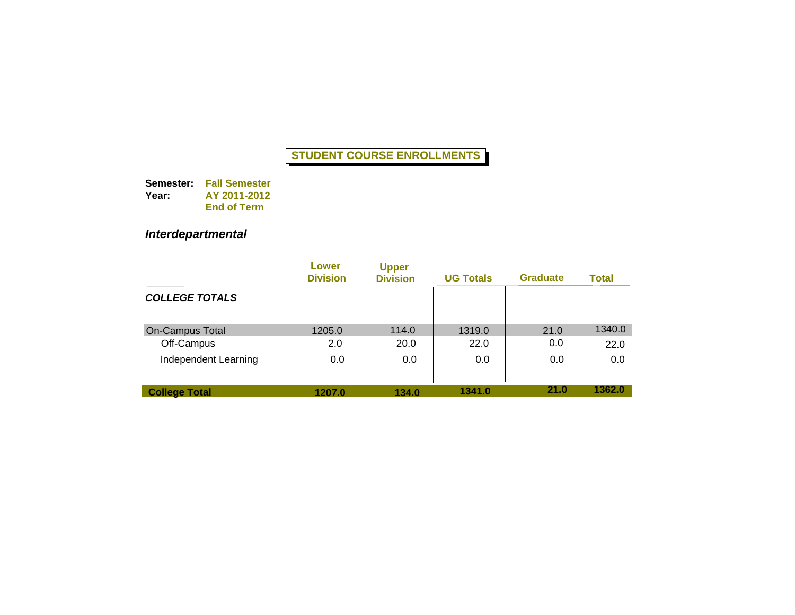**Semester: Fall Semester Year: AY 2011-2012 End of Term**

## *Interdepartmental*

|                        | Lower<br><b>Division</b> | <b>Upper</b><br><b>Division</b> | <b>UG Totals</b> | <b>Graduate</b> | <b>Total</b> |
|------------------------|--------------------------|---------------------------------|------------------|-----------------|--------------|
| <b>COLLEGE TOTALS</b>  |                          |                                 |                  |                 |              |
| <b>On-Campus Total</b> | 1205.0                   | 114.0                           | 1319.0           | 21.0            | 1340.0       |
| Off-Campus             | 2.0                      | 20.0                            | 22.0             | 0.0             | 22.0         |
| Independent Learning   | 0.0                      | 0.0                             | 0.0              | 0.0             | 0.0          |
| <b>College Total</b>   | 1207.0                   | 134.0                           | 1341.0           | 21.0            | 1362.0       |